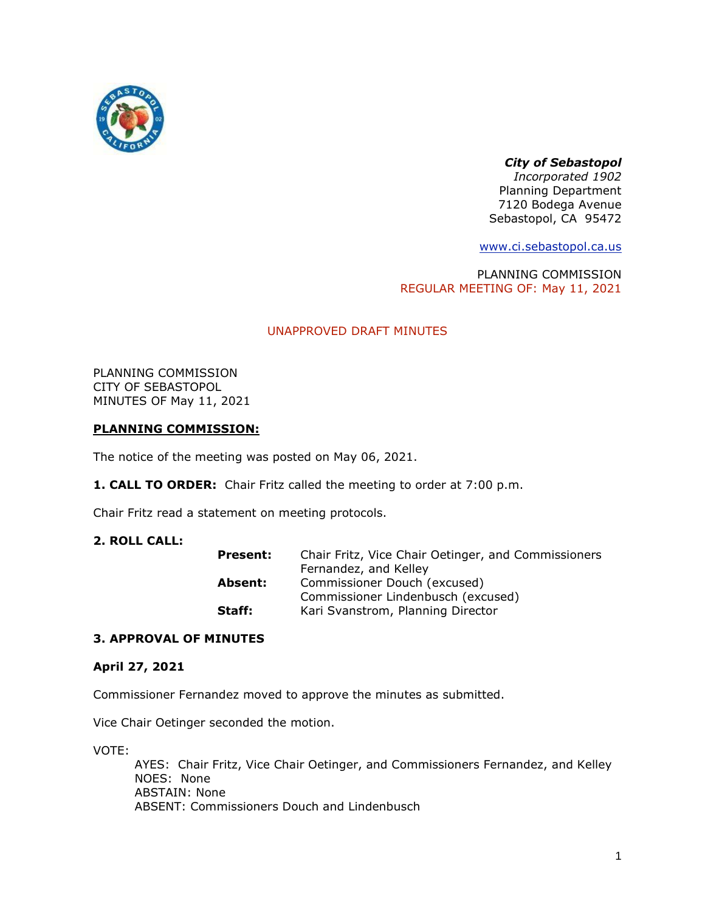

# *City of Sebastopol*

*Incorporated 1902* Planning Department 7120 Bodega Avenue Sebastopol, CA 95472

[www.ci.sebastopol.ca.us](http://www.ci.sebastopol.ca.us/)

PLANNING COMMISSION REGULAR MEETING OF: May 11, 2021

# UNAPPROVED DRAFT MINUTES

PLANNING COMMISSION CITY OF SEBASTOPOL MINUTES OF May 11, 2021

## **PLANNING COMMISSION:**

The notice of the meeting was posted on May 06, 2021.

**1. CALL TO ORDER:** Chair Fritz called the meeting to order at 7:00 p.m.

Chair Fritz read a statement on meeting protocols.

### **2. ROLL CALL:**

| <b>Present:</b> | Chair Fritz, Vice Chair Oetinger, and Commissioners |
|-----------------|-----------------------------------------------------|
|                 | Fernandez, and Kelley                               |
| Absent:         | Commissioner Douch (excused)                        |
|                 | Commissioner Lindenbusch (excused)                  |
| Staff:          | Kari Svanstrom, Planning Director                   |

### **3. APPROVAL OF MINUTES**

### **April 27, 2021**

Commissioner Fernandez moved to approve the minutes as submitted.

Vice Chair Oetinger seconded the motion.

VOTE:

AYES: Chair Fritz, Vice Chair Oetinger, and Commissioners Fernandez, and Kelley NOES: None ABSTAIN: None ABSENT: Commissioners Douch and Lindenbusch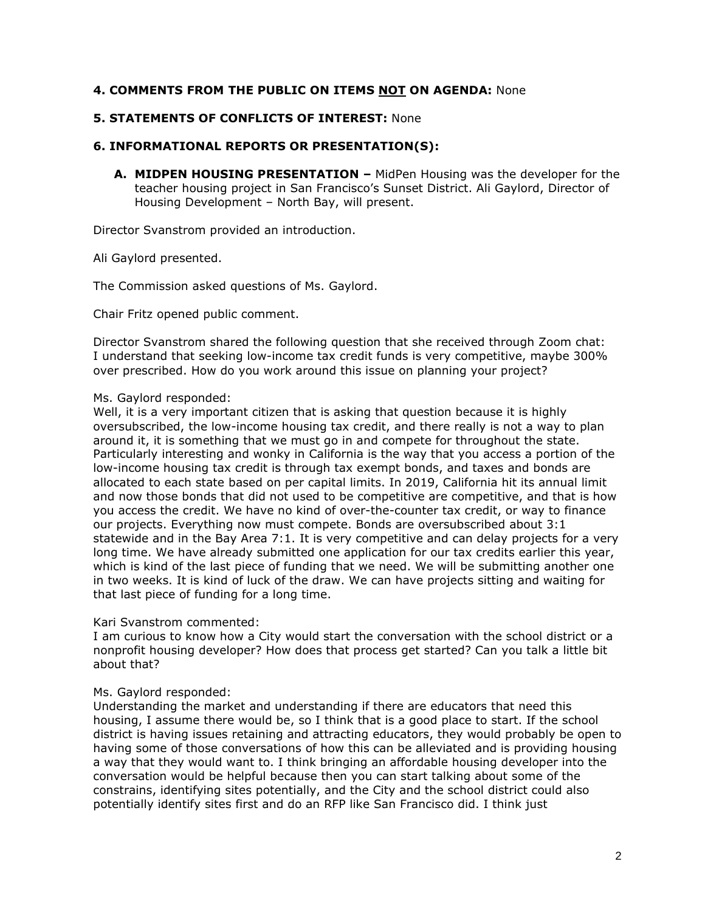## **4. COMMENTS FROM THE PUBLIC ON ITEMS NOT ON AGENDA:** None

### **5. STATEMENTS OF CONFLICTS OF INTEREST:** None

# **6. INFORMATIONAL REPORTS OR PRESENTATION(S):**

**A. MIDPEN HOUSING PRESENTATION –** MidPen Housing was the developer for the teacher housing project in San Francisco's Sunset District. Ali Gaylord, Director of Housing Development – North Bay, will present.

Director Svanstrom provided an introduction.

Ali Gaylord presented.

The Commission asked questions of Ms. Gaylord.

Chair Fritz opened public comment.

Director Svanstrom shared the following question that she received through Zoom chat: I understand that seeking low-income tax credit funds is very competitive, maybe 300% over prescribed. How do you work around this issue on planning your project?

### Ms. Gaylord responded:

Well, it is a very important citizen that is asking that question because it is highly oversubscribed, the low-income housing tax credit, and there really is not a way to plan around it, it is something that we must go in and compete for throughout the state. Particularly interesting and wonky in California is the way that you access a portion of the low-income housing tax credit is through tax exempt bonds, and taxes and bonds are allocated to each state based on per capital limits. In 2019, California hit its annual limit and now those bonds that did not used to be competitive are competitive, and that is how you access the credit. We have no kind of over-the-counter tax credit, or way to finance our projects. Everything now must compete. Bonds are oversubscribed about 3:1 statewide and in the Bay Area 7:1. It is very competitive and can delay projects for a very long time. We have already submitted one application for our tax credits earlier this year, which is kind of the last piece of funding that we need. We will be submitting another one in two weeks. It is kind of luck of the draw. We can have projects sitting and waiting for that last piece of funding for a long time.

### Kari Svanstrom commented:

I am curious to know how a City would start the conversation with the school district or a nonprofit housing developer? How does that process get started? Can you talk a little bit about that?

### Ms. Gaylord responded:

Understanding the market and understanding if there are educators that need this housing, I assume there would be, so I think that is a good place to start. If the school district is having issues retaining and attracting educators, they would probably be open to having some of those conversations of how this can be alleviated and is providing housing a way that they would want to. I think bringing an affordable housing developer into the conversation would be helpful because then you can start talking about some of the constrains, identifying sites potentially, and the City and the school district could also potentially identify sites first and do an RFP like San Francisco did. I think just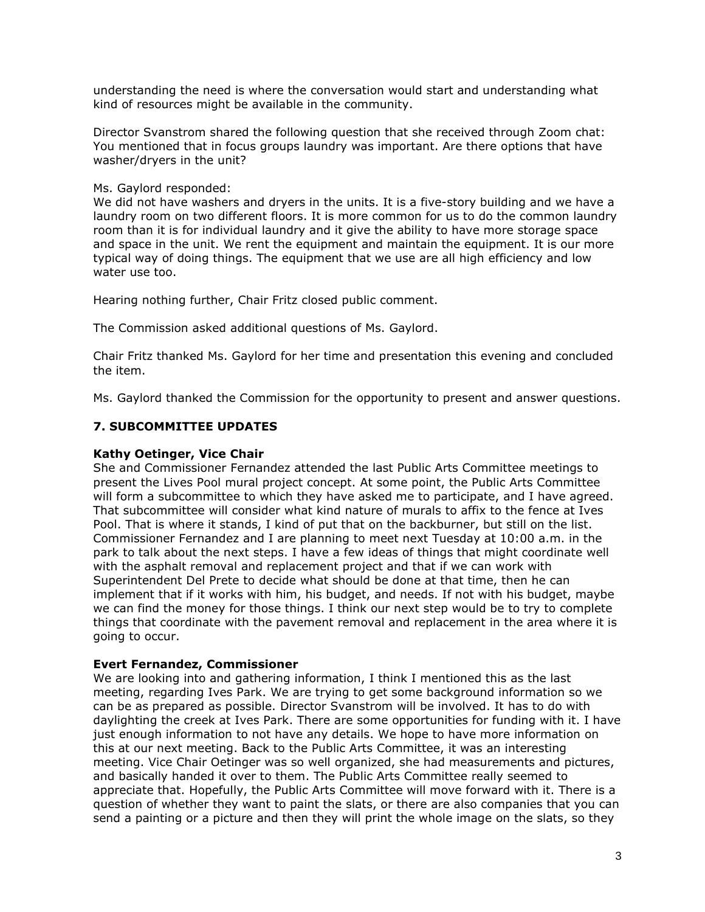understanding the need is where the conversation would start and understanding what kind of resources might be available in the community.

Director Svanstrom shared the following question that she received through Zoom chat: You mentioned that in focus groups laundry was important. Are there options that have washer/dryers in the unit?

Ms. Gaylord responded:

We did not have washers and dryers in the units. It is a five-story building and we have a laundry room on two different floors. It is more common for us to do the common laundry room than it is for individual laundry and it give the ability to have more storage space and space in the unit. We rent the equipment and maintain the equipment. It is our more typical way of doing things. The equipment that we use are all high efficiency and low water use too.

Hearing nothing further, Chair Fritz closed public comment.

The Commission asked additional questions of Ms. Gaylord.

Chair Fritz thanked Ms. Gaylord for her time and presentation this evening and concluded the item.

Ms. Gaylord thanked the Commission for the opportunity to present and answer questions.

## **7. SUBCOMMITTEE UPDATES**

### **Kathy Oetinger, Vice Chair**

She and Commissioner Fernandez attended the last Public Arts Committee meetings to present the Lives Pool mural project concept. At some point, the Public Arts Committee will form a subcommittee to which they have asked me to participate, and I have agreed. That subcommittee will consider what kind nature of murals to affix to the fence at Ives Pool. That is where it stands, I kind of put that on the backburner, but still on the list. Commissioner Fernandez and I are planning to meet next Tuesday at 10:00 a.m. in the park to talk about the next steps. I have a few ideas of things that might coordinate well with the asphalt removal and replacement project and that if we can work with Superintendent Del Prete to decide what should be done at that time, then he can implement that if it works with him, his budget, and needs. If not with his budget, maybe we can find the money for those things. I think our next step would be to try to complete things that coordinate with the pavement removal and replacement in the area where it is going to occur.

### **Evert Fernandez, Commissioner**

We are looking into and gathering information, I think I mentioned this as the last meeting, regarding Ives Park. We are trying to get some background information so we can be as prepared as possible. Director Svanstrom will be involved. It has to do with daylighting the creek at Ives Park. There are some opportunities for funding with it. I have just enough information to not have any details. We hope to have more information on this at our next meeting. Back to the Public Arts Committee, it was an interesting meeting. Vice Chair Oetinger was so well organized, she had measurements and pictures, and basically handed it over to them. The Public Arts Committee really seemed to appreciate that. Hopefully, the Public Arts Committee will move forward with it. There is a question of whether they want to paint the slats, or there are also companies that you can send a painting or a picture and then they will print the whole image on the slats, so they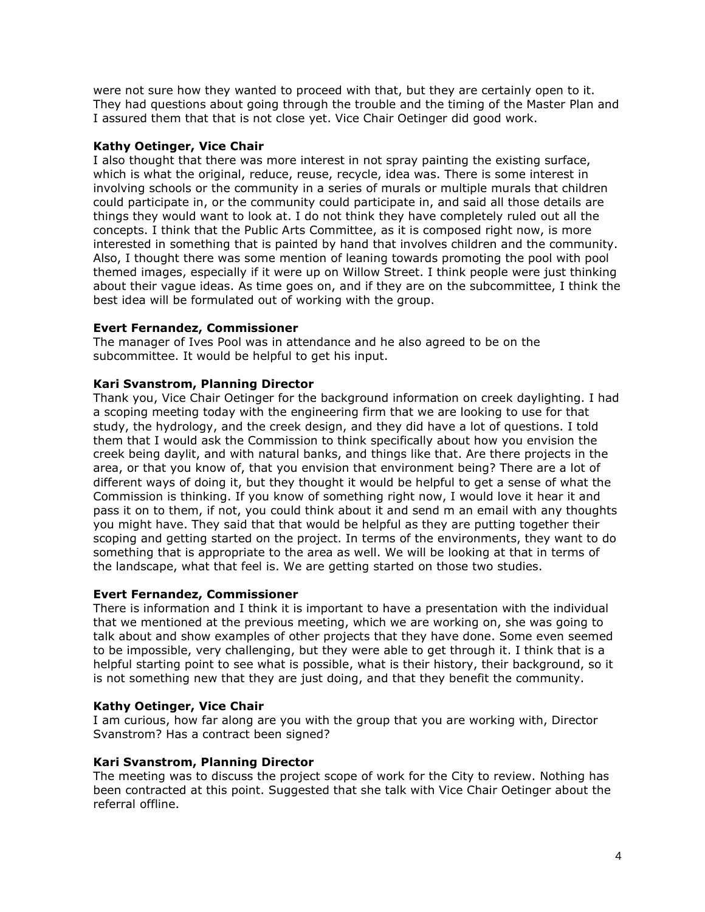were not sure how they wanted to proceed with that, but they are certainly open to it. They had questions about going through the trouble and the timing of the Master Plan and I assured them that that is not close yet. Vice Chair Oetinger did good work.

## **Kathy Oetinger, Vice Chair**

I also thought that there was more interest in not spray painting the existing surface, which is what the original, reduce, reuse, recycle, idea was. There is some interest in involving schools or the community in a series of murals or multiple murals that children could participate in, or the community could participate in, and said all those details are things they would want to look at. I do not think they have completely ruled out all the concepts. I think that the Public Arts Committee, as it is composed right now, is more interested in something that is painted by hand that involves children and the community. Also, I thought there was some mention of leaning towards promoting the pool with pool themed images, especially if it were up on Willow Street. I think people were just thinking about their vague ideas. As time goes on, and if they are on the subcommittee, I think the best idea will be formulated out of working with the group.

### **Evert Fernandez, Commissioner**

The manager of Ives Pool was in attendance and he also agreed to be on the subcommittee. It would be helpful to get his input.

## **Kari Svanstrom, Planning Director**

Thank you, Vice Chair Oetinger for the background information on creek daylighting. I had a scoping meeting today with the engineering firm that we are looking to use for that study, the hydrology, and the creek design, and they did have a lot of questions. I told them that I would ask the Commission to think specifically about how you envision the creek being daylit, and with natural banks, and things like that. Are there projects in the area, or that you know of, that you envision that environment being? There are a lot of different ways of doing it, but they thought it would be helpful to get a sense of what the Commission is thinking. If you know of something right now, I would love it hear it and pass it on to them, if not, you could think about it and send m an email with any thoughts you might have. They said that that would be helpful as they are putting together their scoping and getting started on the project. In terms of the environments, they want to do something that is appropriate to the area as well. We will be looking at that in terms of the landscape, what that feel is. We are getting started on those two studies.

### **Evert Fernandez, Commissioner**

There is information and I think it is important to have a presentation with the individual that we mentioned at the previous meeting, which we are working on, she was going to talk about and show examples of other projects that they have done. Some even seemed to be impossible, very challenging, but they were able to get through it. I think that is a helpful starting point to see what is possible, what is their history, their background, so it is not something new that they are just doing, and that they benefit the community.

# **Kathy Oetinger, Vice Chair**

I am curious, how far along are you with the group that you are working with, Director Svanstrom? Has a contract been signed?

### **Kari Svanstrom, Planning Director**

The meeting was to discuss the project scope of work for the City to review. Nothing has been contracted at this point. Suggested that she talk with Vice Chair Oetinger about the referral offline.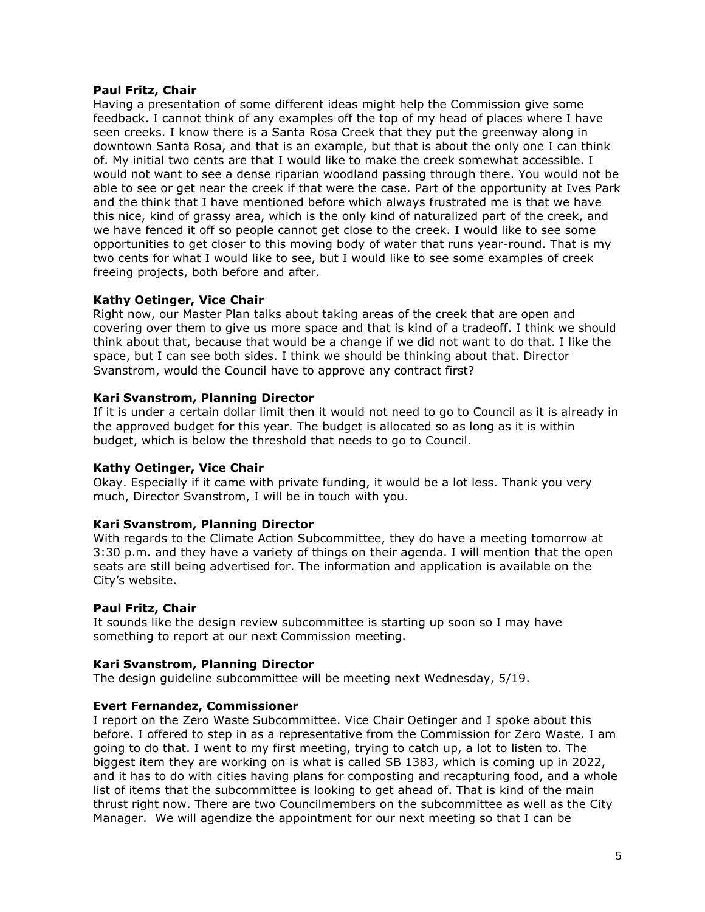#### **Paul Fritz, Chair**

Having a presentation of some different ideas might help the Commission give some feedback. I cannot think of any examples off the top of my head of places where I have seen creeks. I know there is a Santa Rosa Creek that they put the greenway along in downtown Santa Rosa, and that is an example, but that is about the only one I can think of. My initial two cents are that I would like to make the creek somewhat accessible. I would not want to see a dense riparian woodland passing through there. You would not be able to see or get near the creek if that were the case. Part of the opportunity at Ives Park and the think that I have mentioned before which always frustrated me is that we have this nice, kind of grassy area, which is the only kind of naturalized part of the creek, and we have fenced it off so people cannot get close to the creek. I would like to see some opportunities to get closer to this moving body of water that runs year-round. That is my two cents for what I would like to see, but I would like to see some examples of creek freeing projects, both before and after.

### **Kathy Oetinger, Vice Chair**

Right now, our Master Plan talks about taking areas of the creek that are open and covering over them to give us more space and that is kind of a tradeoff. I think we should think about that, because that would be a change if we did not want to do that. I like the space, but I can see both sides. I think we should be thinking about that. Director Svanstrom, would the Council have to approve any contract first?

### **Kari Svanstrom, Planning Director**

If it is under a certain dollar limit then it would not need to go to Council as it is already in the approved budget for this year. The budget is allocated so as long as it is within budget, which is below the threshold that needs to go to Council.

### **Kathy Oetinger, Vice Chair**

Okay. Especially if it came with private funding, it would be a lot less. Thank you very much, Director Svanstrom, I will be in touch with you.

### **Kari Svanstrom, Planning Director**

With regards to the Climate Action Subcommittee, they do have a meeting tomorrow at 3:30 p.m. and they have a variety of things on their agenda. I will mention that the open seats are still being advertised for. The information and application is available on the City's website.

### **Paul Fritz, Chair**

It sounds like the design review subcommittee is starting up soon so I may have something to report at our next Commission meeting.

#### **Kari Svanstrom, Planning Director**

The design guideline subcommittee will be meeting next Wednesday, 5/19.

### **Evert Fernandez, Commissioner**

I report on the Zero Waste Subcommittee. Vice Chair Oetinger and I spoke about this before. I offered to step in as a representative from the Commission for Zero Waste. I am going to do that. I went to my first meeting, trying to catch up, a lot to listen to. The biggest item they are working on is what is called SB 1383, which is coming up in 2022, and it has to do with cities having plans for composting and recapturing food, and a whole list of items that the subcommittee is looking to get ahead of. That is kind of the main thrust right now. There are two Councilmembers on the subcommittee as well as the City Manager. We will agendize the appointment for our next meeting so that I can be